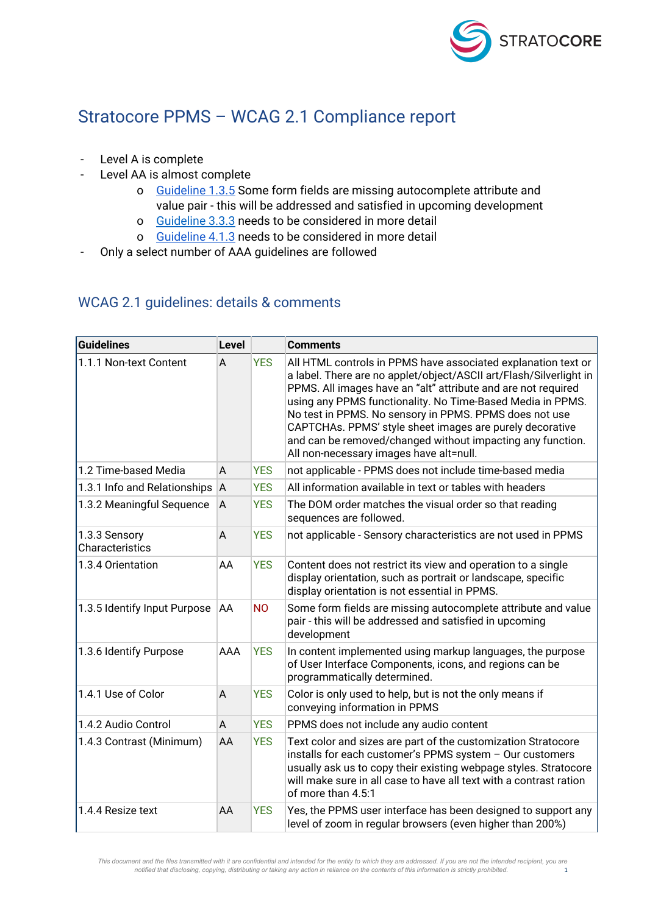

## Stratocore PPMS – WCAG 2.1 Compliance report

- Level A is complete
- Level AA is almost complete
	- o [Guideline](https://www.w3.org/WAI/WCAG21/Understanding/identify-input-purpose.html#techniques) 1.3.5 Some form fields are missing autocomplete attribute and value pair - this will be addressed and satisfied in upcoming development
	- o [Guideline](http://www.w3.org/TR/UNDERSTANDING-WCAG20/minimize-error-suggestions.html) 3.3.3 needs to be considered in more detail
	- o [Guideline](https://www.w3.org/WAI/WCAG21/Understanding/status-messages.html) 4.1.3 needs to be considered in more detail
- Only a select number of AAA guidelines are followed

## WCAG 2.1 guidelines: details & comments

| <b>Guidelines</b>                | <b>Level</b> |            | <b>Comments</b>                                                                                                                                                                                                                                                                                                                                                                                                                                                                                   |
|----------------------------------|--------------|------------|---------------------------------------------------------------------------------------------------------------------------------------------------------------------------------------------------------------------------------------------------------------------------------------------------------------------------------------------------------------------------------------------------------------------------------------------------------------------------------------------------|
| 1.1.1 Non-text Content           | A            | <b>YES</b> | All HTML controls in PPMS have associated explanation text or<br>a label. There are no applet/object/ASCII art/Flash/Silverlight in<br>PPMS. All images have an "alt" attribute and are not required<br>using any PPMS functionality. No Time-Based Media in PPMS.<br>No test in PPMS. No sensory in PPMS. PPMS does not use<br>CAPTCHAs. PPMS' style sheet images are purely decorative<br>and can be removed/changed without impacting any function.<br>All non-necessary images have alt=null. |
| 1.2 Time-based Media             | A            | <b>YES</b> | not applicable - PPMS does not include time-based media                                                                                                                                                                                                                                                                                                                                                                                                                                           |
| 1.3.1 Info and Relationships     | A            | <b>YES</b> | All information available in text or tables with headers                                                                                                                                                                                                                                                                                                                                                                                                                                          |
| 1.3.2 Meaningful Sequence        | A            | <b>YES</b> | The DOM order matches the visual order so that reading<br>sequences are followed.                                                                                                                                                                                                                                                                                                                                                                                                                 |
| 1.3.3 Sensory<br>Characteristics | A            | <b>YES</b> | not applicable - Sensory characteristics are not used in PPMS                                                                                                                                                                                                                                                                                                                                                                                                                                     |
| 1.3.4 Orientation                | AA           | <b>YES</b> | Content does not restrict its view and operation to a single<br>display orientation, such as portrait or landscape, specific<br>display orientation is not essential in PPMS.                                                                                                                                                                                                                                                                                                                     |
| 1.3.5 Identify Input Purpose     | AA           | <b>NO</b>  | Some form fields are missing autocomplete attribute and value<br>pair - this will be addressed and satisfied in upcoming<br>development                                                                                                                                                                                                                                                                                                                                                           |
| 1.3.6 Identify Purpose           | AAA          | <b>YES</b> | In content implemented using markup languages, the purpose<br>of User Interface Components, icons, and regions can be<br>programmatically determined.                                                                                                                                                                                                                                                                                                                                             |
| 1.4.1 Use of Color               | A            | <b>YES</b> | Color is only used to help, but is not the only means if<br>conveying information in PPMS                                                                                                                                                                                                                                                                                                                                                                                                         |
| 1.4.2 Audio Control              | A            | <b>YES</b> | PPMS does not include any audio content                                                                                                                                                                                                                                                                                                                                                                                                                                                           |
| 1.4.3 Contrast (Minimum)         | AA           | <b>YES</b> | Text color and sizes are part of the customization Stratocore<br>installs for each customer's PPMS system - Our customers<br>usually ask us to copy their existing webpage styles. Stratocore<br>will make sure in all case to have all text with a contrast ration<br>of more than 4.5:1                                                                                                                                                                                                         |
| 1.4.4 Resize text                | AA           | <b>YES</b> | Yes, the PPMS user interface has been designed to support any<br>level of zoom in regular browsers (even higher than 200%)                                                                                                                                                                                                                                                                                                                                                                        |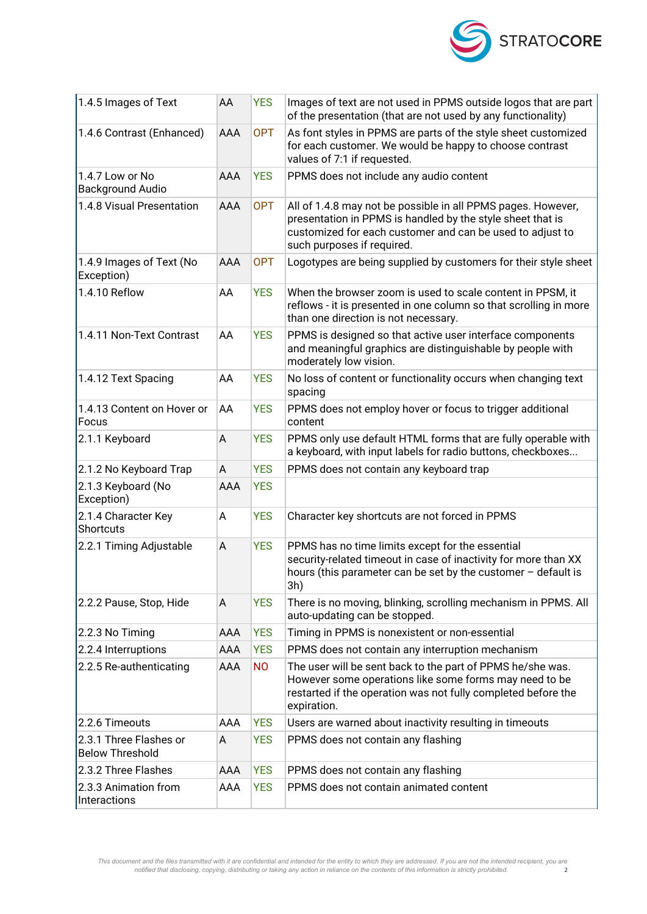

| 1.4.5 Images of Text                             | AA         | <b>YES</b> | Images of text are not used in PPMS outside logos that are part<br>of the presentation (that are not used by any functionality)                                                                                       |
|--------------------------------------------------|------------|------------|-----------------------------------------------------------------------------------------------------------------------------------------------------------------------------------------------------------------------|
| 1.4.6 Contrast (Enhanced)                        | <b>AAA</b> | <b>OPT</b> | As font styles in PPMS are parts of the style sheet customized<br>for each customer. We would be happy to choose contrast<br>values of 7:1 if requested.                                                              |
| 1.4.7 Low or No<br><b>Background Audio</b>       | <b>AAA</b> | <b>YES</b> | PPMS does not include any audio content                                                                                                                                                                               |
| 1.4.8 Visual Presentation                        | AAA        | <b>OPT</b> | All of 1.4.8 may not be possible in all PPMS pages. However,<br>presentation in PPMS is handled by the style sheet that is<br>customized for each customer and can be used to adjust to<br>such purposes if required. |
| 1.4.9 Images of Text (No<br>Exception)           | <b>AAA</b> | <b>OPT</b> | Logotypes are being supplied by customers for their style sheet                                                                                                                                                       |
| 1.4.10 Reflow                                    | AA         | <b>YES</b> | When the browser zoom is used to scale content in PPSM, it<br>reflows - it is presented in one column so that scrolling in more<br>than one direction is not necessary.                                               |
| 1.4.11 Non-Text Contrast                         | AA         | <b>YES</b> | PPMS is designed so that active user interface components<br>and meaningful graphics are distinguishable by people with<br>moderately low vision.                                                                     |
| 1.4.12 Text Spacing                              | AA         | <b>YES</b> | No loss of content or functionality occurs when changing text<br>spacing                                                                                                                                              |
| 1.4.13 Content on Hover or<br>Focus              | AA         | <b>YES</b> | PPMS does not employ hover or focus to trigger additional<br>content                                                                                                                                                  |
| 2.1.1 Keyboard                                   | A          | <b>YES</b> | PPMS only use default HTML forms that are fully operable with<br>a keyboard, with input labels for radio buttons, checkboxes                                                                                          |
| 2.1.2 No Keyboard Trap                           | Α          | <b>YES</b> | PPMS does not contain any keyboard trap                                                                                                                                                                               |
| 2.1.3 Keyboard (No<br>Exception)                 | AAA        | <b>YES</b> |                                                                                                                                                                                                                       |
| 2.1.4 Character Key<br>Shortcuts                 | Α          | <b>YES</b> | Character key shortcuts are not forced in PPMS                                                                                                                                                                        |
| 2.2.1 Timing Adjustable                          | A          | <b>YES</b> | PPMS has no time limits except for the essential<br>security-related timeout in case of inactivity for more than XX<br>hours (this parameter can be set by the customer $-$ default is<br>3h)                         |
| 2.2.2 Pause, Stop, Hide                          | Α          | <b>YES</b> | There is no moving, blinking, scrolling mechanism in PPMS. All<br>auto-updating can be stopped.                                                                                                                       |
| 2.2.3 No Timing                                  | AAA        | <b>YES</b> | Timing in PPMS is nonexistent or non-essential                                                                                                                                                                        |
| 2.2.4 Interruptions                              | AAA        | <b>YES</b> | PPMS does not contain any interruption mechanism                                                                                                                                                                      |
| 2.2.5 Re-authenticating                          | AAA        | <b>NO</b>  | The user will be sent back to the part of PPMS he/she was.<br>However some operations like some forms may need to be<br>restarted if the operation was not fully completed before the<br>expiration.                  |
| 2.2.6 Timeouts                                   | AAA        | <b>YES</b> | Users are warned about inactivity resulting in timeouts                                                                                                                                                               |
| 2.3.1 Three Flashes or<br><b>Below Threshold</b> | A          | <b>YES</b> | PPMS does not contain any flashing                                                                                                                                                                                    |
| 2.3.2 Three Flashes                              | AAA        | <b>YES</b> | PPMS does not contain any flashing                                                                                                                                                                                    |
| 2.3.3 Animation from<br>Interactions             | AAA        | <b>YES</b> | PPMS does not contain animated content                                                                                                                                                                                |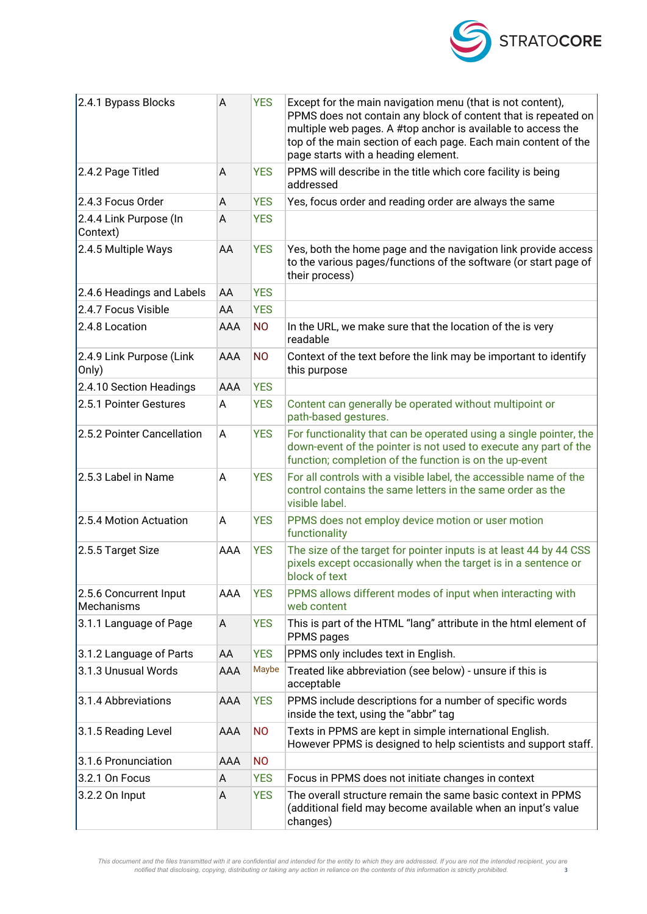

| 2.4.1 Bypass Blocks                  | A          | <b>YES</b> | Except for the main navigation menu (that is not content),<br>PPMS does not contain any block of content that is repeated on<br>multiple web pages. A #top anchor is available to access the<br>top of the main section of each page. Each main content of the<br>page starts with a heading element. |
|--------------------------------------|------------|------------|-------------------------------------------------------------------------------------------------------------------------------------------------------------------------------------------------------------------------------------------------------------------------------------------------------|
| 2.4.2 Page Titled                    | A          | <b>YES</b> | PPMS will describe in the title which core facility is being<br>addressed                                                                                                                                                                                                                             |
| 2.4.3 Focus Order                    | A          | <b>YES</b> | Yes, focus order and reading order are always the same                                                                                                                                                                                                                                                |
| 2.4.4 Link Purpose (In<br>Context)   | Α          | <b>YES</b> |                                                                                                                                                                                                                                                                                                       |
| 2.4.5 Multiple Ways                  | AA         | <b>YES</b> | Yes, both the home page and the navigation link provide access<br>to the various pages/functions of the software (or start page of<br>their process)                                                                                                                                                  |
| 2.4.6 Headings and Labels            | AA         | <b>YES</b> |                                                                                                                                                                                                                                                                                                       |
| 2.4.7 Focus Visible                  | AA         | <b>YES</b> |                                                                                                                                                                                                                                                                                                       |
| 2.4.8 Location                       | AAA        | <b>NO</b>  | In the URL, we make sure that the location of the is very<br>readable                                                                                                                                                                                                                                 |
| 2.4.9 Link Purpose (Link<br>Only)    | AAA        | <b>NO</b>  | Context of the text before the link may be important to identify<br>this purpose                                                                                                                                                                                                                      |
| 2.4.10 Section Headings              | AAA        | <b>YES</b> |                                                                                                                                                                                                                                                                                                       |
| 2.5.1 Pointer Gestures               | A          | <b>YES</b> | Content can generally be operated without multipoint or<br>path-based gestures.                                                                                                                                                                                                                       |
| 2.5.2 Pointer Cancellation           | A          | <b>YES</b> | For functionality that can be operated using a single pointer, the<br>down-event of the pointer is not used to execute any part of the<br>function; completion of the function is on the up-event                                                                                                     |
| 2.5.3 Label in Name                  | Α          | <b>YES</b> | For all controls with a visible label, the accessible name of the<br>control contains the same letters in the same order as the<br>visible label.                                                                                                                                                     |
| 2.5.4 Motion Actuation               | A          | <b>YES</b> | PPMS does not employ device motion or user motion<br>functionality                                                                                                                                                                                                                                    |
| 2.5.5 Target Size                    | AAA        | <b>YES</b> | The size of the target for pointer inputs is at least 44 by 44 CSS<br>pixels except occasionally when the target is in a sentence or<br>block of text                                                                                                                                                 |
| 2.5.6 Concurrent Input<br>Mechanisms | AAA        | <b>YES</b> | PPMS allows different modes of input when interacting with<br>web content                                                                                                                                                                                                                             |
| 3.1.1 Language of Page               | A          | <b>YES</b> | This is part of the HTML "lang" attribute in the html element of<br>PPMS pages                                                                                                                                                                                                                        |
| 3.1.2 Language of Parts              | AA         | <b>YES</b> | PPMS only includes text in English.                                                                                                                                                                                                                                                                   |
| 3.1.3 Unusual Words                  | AAA        | Maybe      | Treated like abbreviation (see below) - unsure if this is<br>acceptable                                                                                                                                                                                                                               |
| 3.1.4 Abbreviations                  | <b>AAA</b> | <b>YES</b> | PPMS include descriptions for a number of specific words<br>inside the text, using the "abbr" tag                                                                                                                                                                                                     |
| 3.1.5 Reading Level                  | AAA        | <b>NO</b>  | Texts in PPMS are kept in simple international English.<br>However PPMS is designed to help scientists and support staff.                                                                                                                                                                             |
| 3.1.6 Pronunciation                  | AAA        | <b>NO</b>  |                                                                                                                                                                                                                                                                                                       |
| 3.2.1 On Focus                       | A          | <b>YES</b> | Focus in PPMS does not initiate changes in context                                                                                                                                                                                                                                                    |
| 3.2.2 On Input                       | A          | <b>YES</b> | The overall structure remain the same basic context in PPMS<br>(additional field may become available when an input's value<br>changes)                                                                                                                                                               |